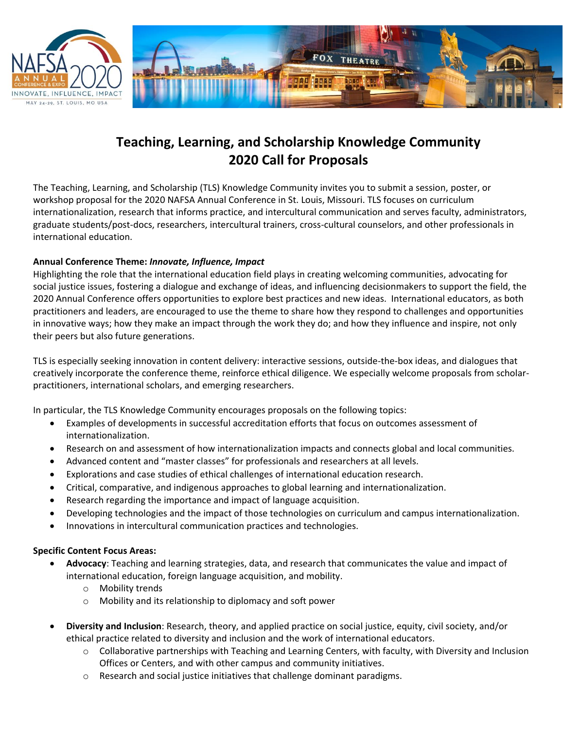



# **Teaching, Learning, and Scholarship Knowledge Community 2020 Call for Proposals**

The Teaching, Learning, and Scholarship (TLS) Knowledge Community invites you to submit a session, poster, or workshop proposal for the 2020 NAFSA Annual Conference in St. Louis, Missouri. TLS focuses on curriculum internationalization, research that informs practice, and intercultural communication and serves faculty, administrators, graduate students/post-docs, researchers, intercultural trainers, cross-cultural counselors, and other professionals in international education.

## **Annual Conference Theme:** *Innovate, Influence, Impact*

Highlighting the role that the international education field plays in creating welcoming communities, advocating for social justice issues, fostering a dialogue and exchange of ideas, and influencing decisionmakers to support the field, the 2020 Annual Conference offers opportunities to explore best practices and new ideas. International educators, as both practitioners and leaders, are encouraged to use the theme to share how they respond to challenges and opportunities in innovative ways; how they make an impact through the work they do; and how they influence and inspire, not only their peers but also future generations.

TLS is especially seeking innovation in content delivery: interactive sessions, outside-the-box ideas, and dialogues that creatively incorporate the conference theme, reinforce ethical diligence. We especially welcome proposals from scholarpractitioners, international scholars, and emerging researchers.

In particular, the TLS Knowledge Community encourages proposals on the following topics:

- Examples of developments in successful accreditation efforts that focus on outcomes assessment of internationalization.
- Research on and assessment of how internationalization impacts and connects global and local communities.
- Advanced content and "master classes" for professionals and researchers at all levels.
- Explorations and case studies of ethical challenges of international education research.
- Critical, comparative, and indigenous approaches to global learning and internationalization.
- Research regarding the importance and impact of language acquisition.
- Developing technologies and the impact of those technologies on curriculum and campus internationalization.
- Innovations in intercultural communication practices and technologies.

#### **Specific Content Focus Areas:**

- **Advocacy**: Teaching and learning strategies, data, and research that communicates the value and impact of international education, foreign language acquisition, and mobility.
	- o Mobility trends
	- o Mobility and its relationship to diplomacy and soft power
- **Diversity and Inclusion**: Research, theory, and applied practice on social justice, equity, civil society, and/or ethical practice related to diversity and inclusion and the work of international educators.
	- $\circ$  Collaborative partnerships with Teaching and Learning Centers, with faculty, with Diversity and Inclusion Offices or Centers, and with other campus and community initiatives.
	- $\circ$  Research and social justice initiatives that challenge dominant paradigms.